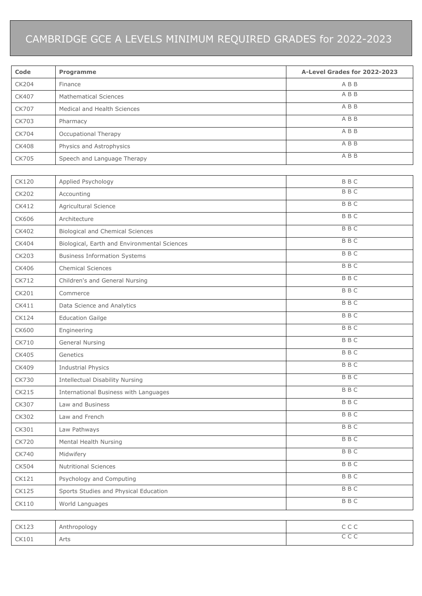## CAMBRIDGE GCE A LEVELS MINIMUM REQUIRED GRADES for 2022-2023

| Code         | Programme                                    | A-Level Grades for 2022-2023 |
|--------------|----------------------------------------------|------------------------------|
| <b>CK204</b> | Finance                                      | A B B                        |
| CK407        | <b>Mathematical Sciences</b>                 | A B B                        |
| CK707        | Medical and Health Sciences                  | A B B                        |
| CK703        | Pharmacy                                     | A B B                        |
| CK704        | Occupational Therapy                         | A B B                        |
| <b>CK408</b> | Physics and Astrophysics                     | A B B                        |
| <b>CK705</b> | Speech and Language Therapy                  | A B B                        |
|              |                                              |                              |
| CK120        | Applied Psychology                           | <b>BBC</b>                   |
| CK202        | Accounting                                   | <b>BBC</b>                   |
| CK412        | Agricultural Science                         | <b>BBC</b>                   |
| CK606        | Architecture                                 | <b>BBC</b>                   |
| CK402        | <b>Biological and Chemical Sciences</b>      | <b>BBC</b>                   |
| CK404        | Biological, Earth and Environmental Sciences | <b>BBC</b>                   |
| CK203        | <b>Business Information Systems</b>          | <b>BBC</b>                   |
| CK406        | <b>Chemical Sciences</b>                     | <b>BBC</b>                   |
| CK712        | Children's and General Nursing               | <b>BBC</b>                   |
| CK201        | Commerce                                     | <b>BBC</b>                   |
| CK411        | Data Science and Analytics                   | <b>BBC</b>                   |
| <b>CK124</b> | <b>Education Gailge</b>                      | <b>BBC</b>                   |
| <b>CK600</b> | Engineering                                  | <b>BBC</b>                   |
| CK710        | <b>General Nursing</b>                       | <b>BBC</b>                   |
| CK405        | Genetics                                     | <b>BBC</b>                   |
| CK409        | <b>Industrial Physics</b>                    | <b>BBC</b>                   |
| CK730        | Intellectual Disability Nursing              | <b>BBC</b>                   |
| CK215        | International Business with Languages        | <b>BBC</b>                   |
| CK307        | Law and Business                             | <b>BBC</b>                   |
| CK302        | Law and French                               | <b>BBC</b>                   |
| CK301        | Law Pathways                                 | <b>BBC</b>                   |
| CK720        | Mental Health Nursing                        | <b>BBC</b>                   |
| CK740        | Midwifery                                    | <b>BBC</b>                   |
| CK504        | <b>Nutritional Sciences</b>                  | <b>BBC</b>                   |
| CK121        | Psychology and Computing                     | <b>BBC</b>                   |
| CK125        | Sports Studies and Physical Education        | <b>BBC</b>                   |
| CK110        | World Languages                              | <b>BBC</b>                   |

| CK123 | Anthropology<br>، ب | $\sim$ $\sim$ $\sim$<br>ししし |
|-------|---------------------|-----------------------------|
| CK101 | Arts                | $\sim$ $\sim$ $\sim$<br>ししし |